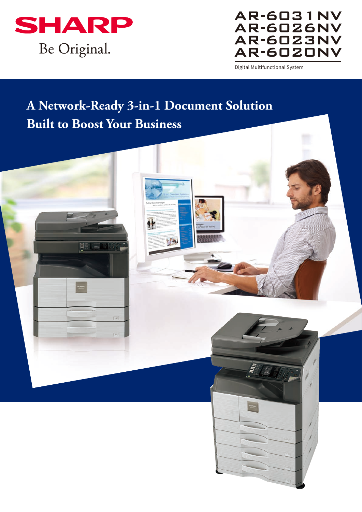

## **AR-6031NV AR-6026NV AR-6023NV AR-6020NV**

Digital Multifunctional System

# **A Network-Ready 3-in-1 Document Solution Built to Boost Your Business**

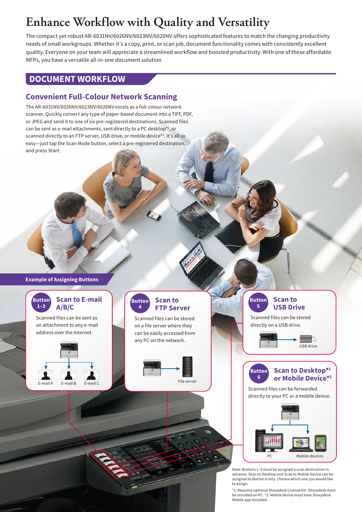# **Enhance Workflow with Quality and Versatility**

The compact yet robust AR-6031NV/6026NV/6023NV/6020NV offers sophisticated features to match the changing productivity needs of small workgroups. Whether it's a copy, print, or scan job, document functionality comes with consistently excellent quality. Everyone on your team will appreciate a streamlined workflow and boosted productivity. With one of these affordable MFPs, you have a versatile all-in-one document solution.

#### **DOCUMENT WORKFLOW**

#### **Convenient Full-Colour Network Scanning**

The AR-6031NV/6026NV/6023NV/6020NV excels as a full-colour network scanner. Quickly convert any type of paper-based document into a TIFF, PDF, or JPEG and send it to one of six pre-registered destinations. Scanned files can be sent as e-mail attachments, sent directly to a PC desktop\*1 , or scanned directly to an FTP server, USB drive, or mobile device\*2 . It's all so easy—just tap the Scan Mode button, select a pre-registered destination, and press Start.

#### **Example of Assigning Buttons**



\*1: Requires optional Sharpdesk License Kit. Sharpdesk must be installed on PC. \*2: Mobile device must have Sharpdesk Mobile app installed.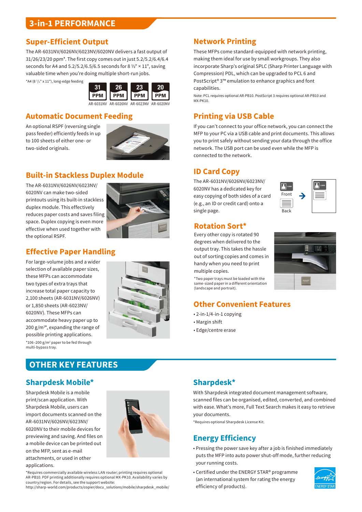#### **3-in-1 PERFORMANCE**

#### **Super-Efficient Output**

The AR-6031NV/6026NV/6023NV/6020NV delivers a fast output of 31/26/23/20 ppm\*. The first copy comes out in just 5.2/5.2/6.4/6.4 seconds for A4 and  $5.2/5.2/6.5/6.5$  seconds for 8  $\frac{1}{2}$  × 11", saving valuable time when you're doing multiple short-run jobs.

\*A4 (8 1 /2" x 11"), long-edge feeding



#### **Automatic Document Feeding**

An optional RSPF (reversing single pass feeder) efficiently feeds in up to 100 sheets of either one- or two-sided originals.



#### **Built-in Stackless Duplex Module**

The AR-6031NV/6026NV/6023NV/ 6020NV can make two-sided printouts using its built-in stackless duplex module. This effectively reduces paper costs and saves filing space. Duplex copying is even more effective when used together with the optional RSPF.



### **Effective Paper Handling**

For large-volume jobs and a wider selection of available paper sizes, these MFPs can accommodate two types of extra trays that increase total paper capacity to 2,100 sheets (AR-6031NV/6026NV) or 1,850 sheets (AR-6023NV/ 6020NV). These MFPs can accommodate heavy paper up to 200 g/m<sup>2\*</sup>, expanding the range of possible printing applications. \*106–200 g/m2 paper to be fed through multi-bypass tray.



#### **Network Printing**

These MFPs come standard-equipped with network printing, making them ideal for use by small workgroups. They also incorporate Sharp's original SPLC (Sharp Printer Language with Compression) PDL, which can be upgraded to PCL 6 and PostScript® 3™ emulation to enhance graphics and font capabilities.

Note: PCL requires optional AR-PB10. PostScript 3 requires optional AR-PB10 and MX-PK10.

## **Printing via USB Cable**

If you can't connect to your office network, you can connect the MFP to your PC via a USB cable and print documents. This allows you to print safely without sending your data through the office network. The USB port can be used even while the MFP is connected to the network.

#### **ID Card Copy**

The AR-6031NV/6026NV/6023NV/ 6020NV has a dedicated key for easy copying of both sides of a card (e.g., an ID or credit card) onto a single page.



#### **Rotation Sort\***

Every other copy is rotated 90 degrees when delivered to the output tray. This takes the hassle out of sorting copies and comes in handy when you need to print multiple copies.

\*Two paper trays must be loaded with the same-sized paper in a different orientation (landscape and portrait).

#### **Other Convenient Features**

- 2-in-1/4-in-1 copying
- Margin shift
- Edge/centre erase

#### **OTHER KEY FEATURES**

#### **Sharpdesk Mobile\***

Sharpdesk Mobile is a mobile print/scan application. With Sharpdesk Mobile, users can import documents scanned on the AR-6031NV/6026NV/6023NV/ 6020NV to their mobile devices for previewing and saving. And files on a mobile device can be printed out on the MFP, sent as e-mail attachments, or used in other applications.



\*Requires commercially available wireless LAN router; printing requires optional AR-PB10. PDF printing additionally requires optional MX-PK10. Availability varies by country/region. For details, see the support website:

http://sharp-world.com/products/copier/docu\_solutions/mobile/sharpdesk\_mobile/

#### **Sharpdesk\***

With Sharpdesk integrated document management software, scanned files can be organised, edited, converted, and combined with ease. What's more, Full Text Search makes it easy to retrieve your documents.

\*Requires optional Sharpdesk License Kit.

#### **Energy Efficiency**

- Pressing the power save key after a job is finished immediately puts the MFP into auto power shut-off mode, further reducing your running costs.
- Certified under the ENERGY STAR® programme (an international system for rating the energy efficiency of products).